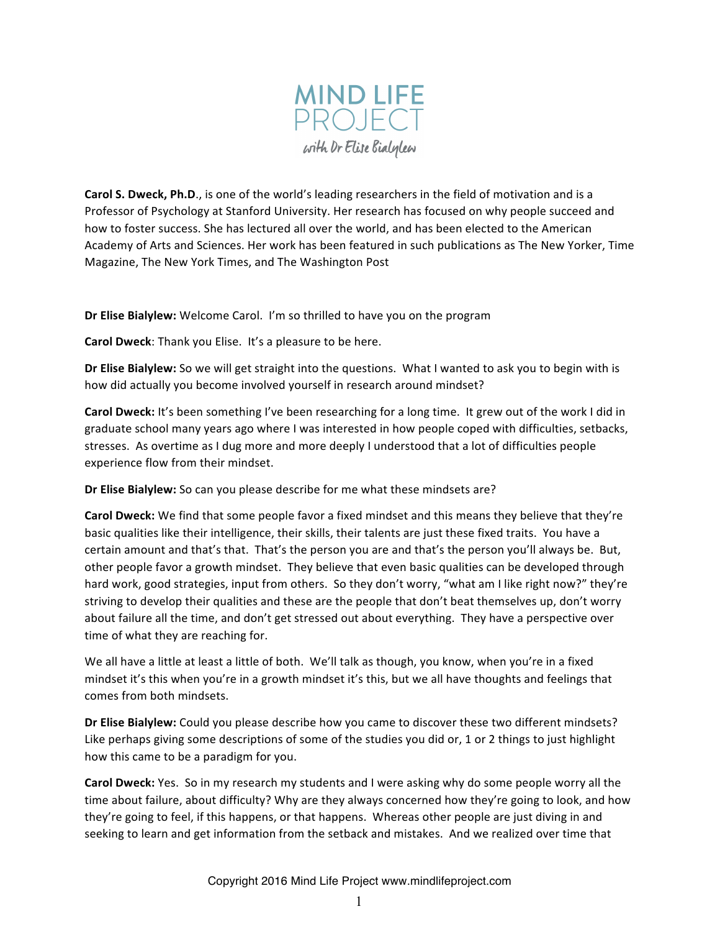

**Carol S. Dweck, Ph.D**., is one of the world's leading researchers in the field of motivation and is a Professor of Psychology at Stanford University. Her research has focused on why people succeed and how to foster success. She has lectured all over the world, and has been elected to the American Academy of Arts and Sciences. Her work has been featured in such publications as The New Yorker, Time Magazine, The New York Times, and The Washington Post

**Dr Elise Bialylew:** Welcome Carol. I'm so thrilled to have you on the program

**Carol Dweck**: Thank you Elise. It's a pleasure to be here.

**Dr Elise Bialylew:** So we will get straight into the questions. What I wanted to ask you to begin with is how did actually you become involved yourself in research around mindset?

**Carol Dweck:** It's been something I've been researching for a long time. It grew out of the work I did in graduate school many years ago where I was interested in how people coped with difficulties, setbacks, stresses. As overtime as I dug more and more deeply I understood that a lot of difficulties people experience flow from their mindset. 

**Dr Elise Bialylew:** So can you please describe for me what these mindsets are?

**Carol Dweck:** We find that some people favor a fixed mindset and this means they believe that they're basic qualities like their intelligence, their skills, their talents are just these fixed traits. You have a certain amount and that's that. That's the person you are and that's the person you'll always be. But, other people favor a growth mindset. They believe that even basic qualities can be developed through hard work, good strategies, input from others. So they don't worry, "what am I like right now?" they're striving to develop their qualities and these are the people that don't beat themselves up, don't worry about failure all the time, and don't get stressed out about everything. They have a perspective over time of what they are reaching for. 

We all have a little at least a little of both. We'll talk as though, you know, when you're in a fixed mindset it's this when you're in a growth mindset it's this, but we all have thoughts and feelings that comes from both mindsets. 

**Dr Elise Bialylew:** Could you please describe how you came to discover these two different mindsets? Like perhaps giving some descriptions of some of the studies you did or, 1 or 2 things to just highlight how this came to be a paradigm for you. 

**Carol Dweck:** Yes. So in my research my students and I were asking why do some people worry all the time about failure, about difficulty? Why are they always concerned how they're going to look, and how they're going to feel, if this happens, or that happens. Whereas other people are just diving in and seeking to learn and get information from the setback and mistakes. And we realized over time that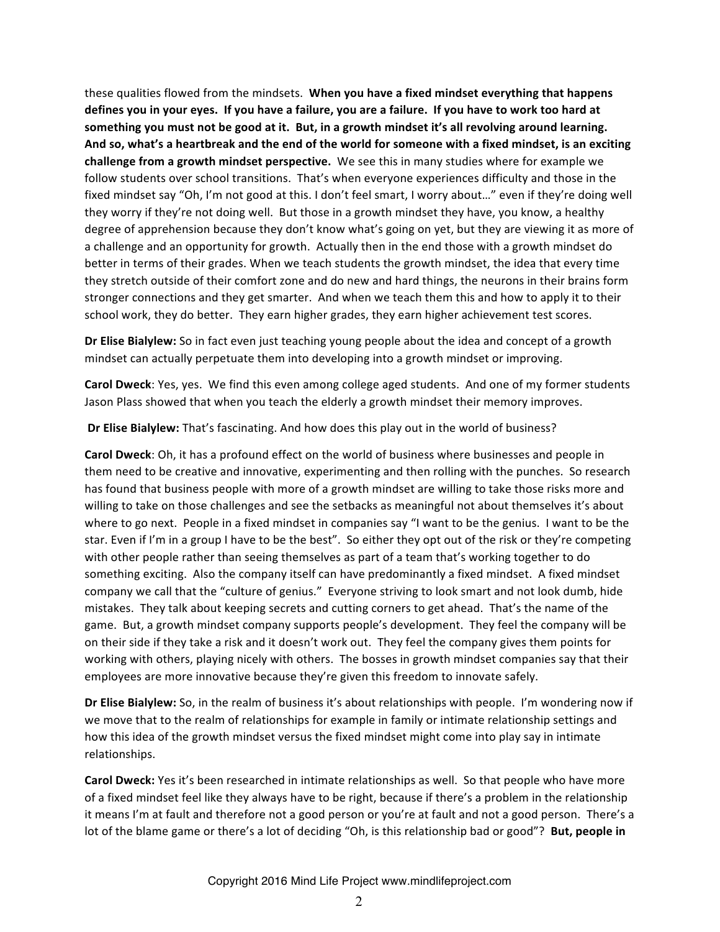these qualities flowed from the mindsets. **When you have a fixed mindset everything that happens** defines you in your eyes. If you have a failure, you are a failure. If you have to work too hard at **something you must not be good at it. But, in a growth mindset it's all revolving around learning.**  And so, what's a heartbreak and the end of the world for someone with a fixed mindset, is an exciting **challenge from a growth mindset perspective.** We see this in many studies where for example we follow students over school transitions. That's when everyone experiences difficulty and those in the fixed mindset say "Oh, I'm not good at this. I don't feel smart, I worry about…" even if they're doing well they worry if they're not doing well. But those in a growth mindset they have, you know, a healthy degree of apprehension because they don't know what's going on yet, but they are viewing it as more of a challenge and an opportunity for growth. Actually then in the end those with a growth mindset do better in terms of their grades. When we teach students the growth mindset, the idea that every time they stretch outside of their comfort zone and do new and hard things, the neurons in their brains form stronger connections and they get smarter. And when we teach them this and how to apply it to their school work, they do better. They earn higher grades, they earn higher achievement test scores.

**Dr Elise Bialylew:** So in fact even just teaching young people about the idea and concept of a growth mindset can actually perpetuate them into developing into a growth mindset or improving.

**Carol Dweck**: Yes, yes. We find this even among college aged students. And one of my former students Jason Plass showed that when you teach the elderly a growth mindset their memory improves.

**Dr Elise Bialylew:** That's fascinating. And how does this play out in the world of business?

**Carol Dweck**: Oh, it has a profound effect on the world of business where businesses and people in them need to be creative and innovative, experimenting and then rolling with the punches. So research has found that business people with more of a growth mindset are willing to take those risks more and willing to take on those challenges and see the setbacks as meaningful not about themselves it's about where to go next. People in a fixed mindset in companies say "I want to be the genius. I want to be the star. Even if I'm in a group I have to be the best". So either they opt out of the risk or they're competing with other people rather than seeing themselves as part of a team that's working together to do something exciting. Also the company itself can have predominantly a fixed mindset. A fixed mindset company we call that the "culture of genius." Everyone striving to look smart and not look dumb, hide mistakes. They talk about keeping secrets and cutting corners to get ahead. That's the name of the game. But, a growth mindset company supports people's development. They feel the company will be on their side if they take a risk and it doesn't work out. They feel the company gives them points for working with others, playing nicely with others. The bosses in growth mindset companies say that their employees are more innovative because they're given this freedom to innovate safely.

**Dr Elise Bialylew:** So, in the realm of business it's about relationships with people. I'm wondering now if we move that to the realm of relationships for example in family or intimate relationship settings and how this idea of the growth mindset versus the fixed mindset might come into play say in intimate relationships.

**Carol Dweck:** Yes it's been researched in intimate relationships as well. So that people who have more of a fixed mindset feel like they always have to be right, because if there's a problem in the relationship it means I'm at fault and therefore not a good person or you're at fault and not a good person. There's a lot of the blame game or there's a lot of deciding "Oh, is this relationship bad or good"? **But, people in**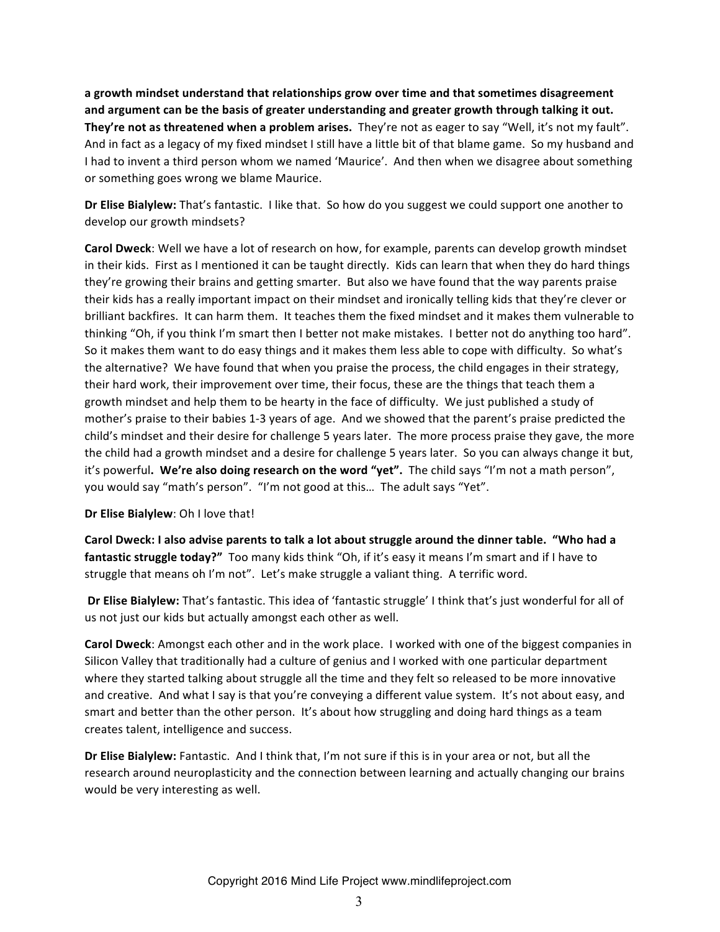**a growth mindset understand that relationships grow over time and that sometimes disagreement and argument can be the basis of greater understanding and greater growth through talking it out. They're not as threatened when a problem arises.** They're not as eager to say "Well, it's not my fault". And in fact as a legacy of my fixed mindset I still have a little bit of that blame game. So my husband and I had to invent a third person whom we named 'Maurice'. And then when we disagree about something or something goes wrong we blame Maurice. 

**Dr Elise Bialylew:** That's fantastic. I like that. So how do you suggest we could support one another to develop our growth mindsets?

**Carol Dweck**: Well we have a lot of research on how, for example, parents can develop growth mindset in their kids. First as I mentioned it can be taught directly. Kids can learn that when they do hard things they're growing their brains and getting smarter. But also we have found that the way parents praise their kids has a really important impact on their mindset and ironically telling kids that they're clever or brilliant backfires. It can harm them. It teaches them the fixed mindset and it makes them vulnerable to thinking "Oh, if you think I'm smart then I better not make mistakes. I better not do anything too hard". So it makes them want to do easy things and it makes them less able to cope with difficulty. So what's the alternative? We have found that when you praise the process, the child engages in their strategy, their hard work, their improvement over time, their focus, these are the things that teach them a growth mindset and help them to be hearty in the face of difficulty. We just published a study of mother's praise to their babies 1-3 years of age. And we showed that the parent's praise predicted the child's mindset and their desire for challenge 5 years later. The more process praise they gave, the more the child had a growth mindset and a desire for challenge 5 years later. So you can always change it but, it's powerful**. We're also doing research on the word "yet".** The child says "I'm not a math person", you would say "math's person". "I'm not good at this... The adult says "Yet".

## **Dr Elise Bialylew**: Oh I love that!

Carol Dweck: I also advise parents to talk a lot about struggle around the dinner table. "Who had a **fantastic struggle today?"** Too many kids think "Oh, if it's easy it means I'm smart and if I have to struggle that means oh I'm not". Let's make struggle a valiant thing. A terrific word.

**Dr Elise Bialylew:** That's fantastic. This idea of 'fantastic struggle' I think that's just wonderful for all of us not just our kids but actually amongst each other as well.

**Carol Dweck**: Amongst each other and in the work place. I worked with one of the biggest companies in Silicon Valley that traditionally had a culture of genius and I worked with one particular department where they started talking about struggle all the time and they felt so released to be more innovative and creative. And what I say is that you're conveying a different value system. It's not about easy, and smart and better than the other person. It's about how struggling and doing hard things as a team creates talent, intelligence and success. 

**Dr Elise Bialylew:** Fantastic. And I think that, I'm not sure if this is in your area or not, but all the research around neuroplasticity and the connection between learning and actually changing our brains would be very interesting as well.